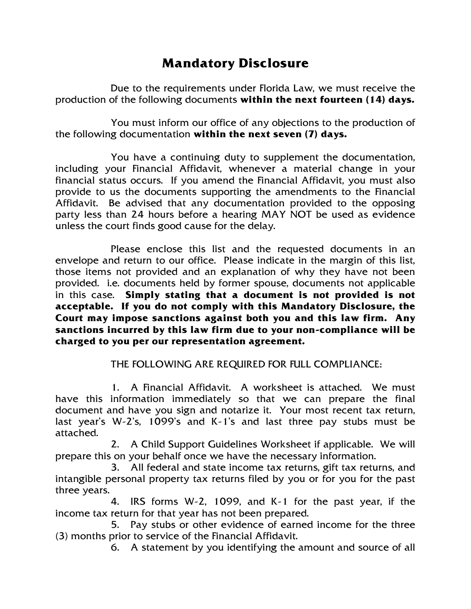## **Mandatory Disclosure**

Due to the requirements under Florida Law, we must receive the production of the following documents **within the next fourteen (14) days.**

You must inform our office of any objections to the production of the following documentation **within the next seven (7) days.** 

You have a continuing duty to supplement the documentation, including your Financial Affidavit, whenever a material change in your financial status occurs. If you amend the Financial Affidavit, you must also provide to us the documents supporting the amendments to the Financial Affidavit. Be advised that any documentation provided to the opposing party less than 24 hours before a hearing MAY NOT be used as evidence unless the court finds good cause for the delay.

Please enclose this list and the requested documents in an envelope and return to our office. Please indicate in the margin of this list, those items not provided and an explanation of why they have not been provided. i.e. documents held by former spouse, documents not applicable in this case. **Simply stating that a document is not provided is not acceptable. If you do not comply with this Mandatory Disclosure, the Court may impose sanctions against both you and this law firm. Any sanctions incurred by this law firm due to your non-compliance will be charged to you per our representation agreement.**

THE FOLLOWING ARE REQUIRED FOR FULL COMPLIANCE:

1. A Financial Affidavit. A worksheet is attached. We must have this information immediately so that we can prepare the final document and have you sign and notarize it. Your most recent tax return, last year's W-2's, 1099's and K-1's and last three pay stubs must be attached.

2. A Child Support Guidelines Worksheet if applicable. We will prepare this on your behalf once we have the necessary information.

3. All federal and state income tax returns, gift tax returns, and intangible personal property tax returns filed by you or for you for the past three years.

4. IRS forms W-2, 1099, and K-1 for the past year, if the income tax return for that year has not been prepared.

5. Pay stubs or other evidence of earned income for the three (3) months prior to service of the Financial Affidavit.

6. A statement by you identifying the amount and source of all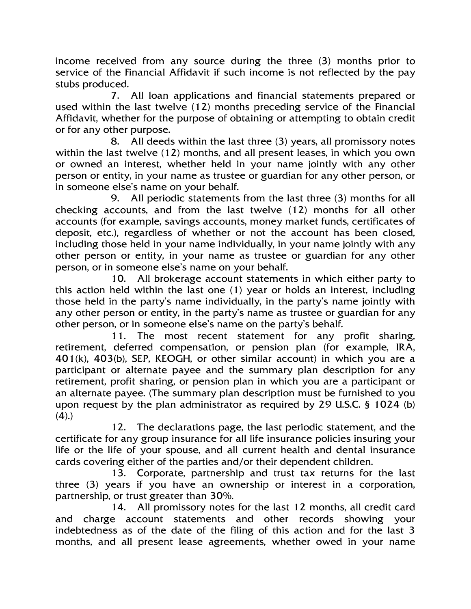income received from any source during the three (3) months prior to service of the Financial Affidavit if such income is not reflected by the pay stubs produced.

7. All loan applications and financial statements prepared or used within the last twelve (12) months preceding service of the Financial Affidavit, whether for the purpose of obtaining or attempting to obtain credit or for any other purpose.

8. All deeds within the last three (3) years, all promissory notes within the last twelve (12) months, and all present leases, in which you own or owned an interest, whether held in your name jointly with any other person or entity, in your name as trustee or guardian for any other person, or in someone else's name on your behalf.

9. All periodic statements from the last three (3) months for all checking accounts, and from the last twelve (12) months for all other accounts (for example, savings accounts, money market funds, certificates of deposit, etc.), regardless of whether or not the account has been closed, including those held in your name individually, in your name jointly with any other person or entity, in your name as trustee or guardian for any other person, or in someone else's name on your behalf.

10. All brokerage account statements in which either party to this action held within the last one (1) year or holds an interest, including those held in the party's name individually, in the party's name jointly with any other person or entity, in the party's name as trustee or guardian for any other person, or in someone else's name on the party's behalf.

11. The most recent statement for any profit sharing, retirement, deferred compensation, or pension plan (for example, IRA, 401(k), 403(b), SEP, KEOGH, or other similar account) in which you are a participant or alternate payee and the summary plan description for any retirement, profit sharing, or pension plan in which you are a participant or an alternate payee. (The summary plan description must be furnished to you upon request by the plan administrator as required by 29 U.S.C. § 1024 (b)  $(4)$ .)

12. The declarations page, the last periodic statement, and the certificate for any group insurance for all life insurance policies insuring your life or the life of your spouse, and all current health and dental insurance cards covering either of the parties and/or their dependent children.

13. Corporate, partnership and trust tax returns for the last three (3) years if you have an ownership or interest in a corporation, partnership, or trust greater than 30%.

14. All promissory notes for the last 12 months, all credit card and charge account statements and other records showing your indebtedness as of the date of the filing of this action and for the last 3 months, and all present lease agreements, whether owed in your name